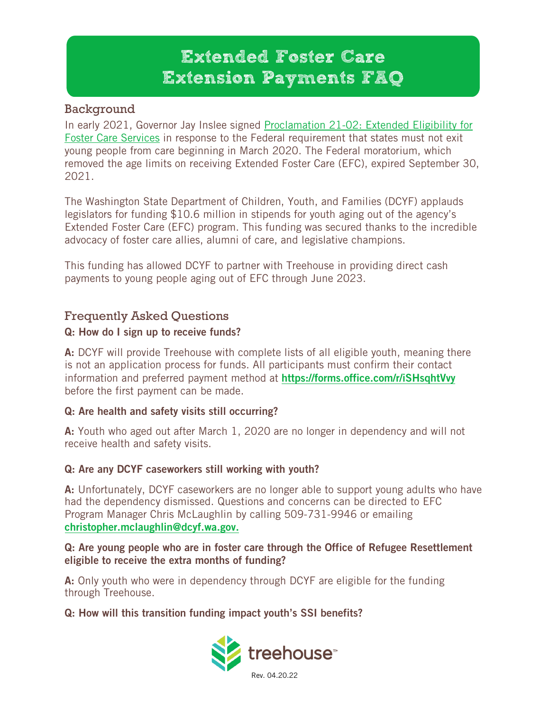# Extended Foster Care Extension Payments FAQ

# Background

In early 2021, Governor Jay Inslee signed [Proclamation 21-02: Extended Eligibility for](https://www.governor.wa.gov/sites/default/files/proclamations/proc_21-02.pdf)  [Foster Care Services](https://www.governor.wa.gov/sites/default/files/proclamations/proc_21-02.pdf) in response to the Federal requirement that states must not exit young people from care beginning in March 2020. The Federal moratorium, which removed the age limits on receiving Extended Foster Care (EFC), expired September 30, 2021.

The Washington State Department of Children, Youth, and Families (DCYF) applauds legislators for funding \$10.6 million in stipends for youth aging out of the agency's Extended Foster Care (EFC) program. This funding was secured thanks to the incredible advocacy of foster care allies, alumni of care, and legislative champions.

This funding has allowed DCYF to partner with Treehouse in providing direct cash payments to young people aging out of EFC through June 2023.

# Frequently Asked Questions

# Q: How do I sign up to receive funds?

A: DCYF will provide Treehouse with complete lists of all eligible youth, meaning there is not an application process for funds. All participants must confirm their contact information and preferred payment method at <https://forms.office.com/r/iSHsqhtVvy> before the first payment can be made.

# Q: Are health and safety visits still occurring?

A: Youth who aged out after March 1, 2020 are no longer in dependency and will not receive health and safety visits.

# Q: Are any DCYF caseworkers still working with youth?

A: Unfortunately, DCYF caseworkers are no longer able to support young adults who have had the dependency dismissed. Questions and concerns can be directed to EFC Program Manager Chris McLaughlin by calling 509-731-9946 or emailing [christopher.mclaughlin@dcyf.wa.gov.](mailto:christopher.mclaughlin@dcyf.wa.gov)

#### Q: Are young people who are in foster care through the Office of Refugee Resettlement eligible to receive the extra months of funding?

A: Only youth who were in dependency through DCYF are eligible for the funding through Treehouse.

# Q: How will this transition funding impact youth's SSI benefits?